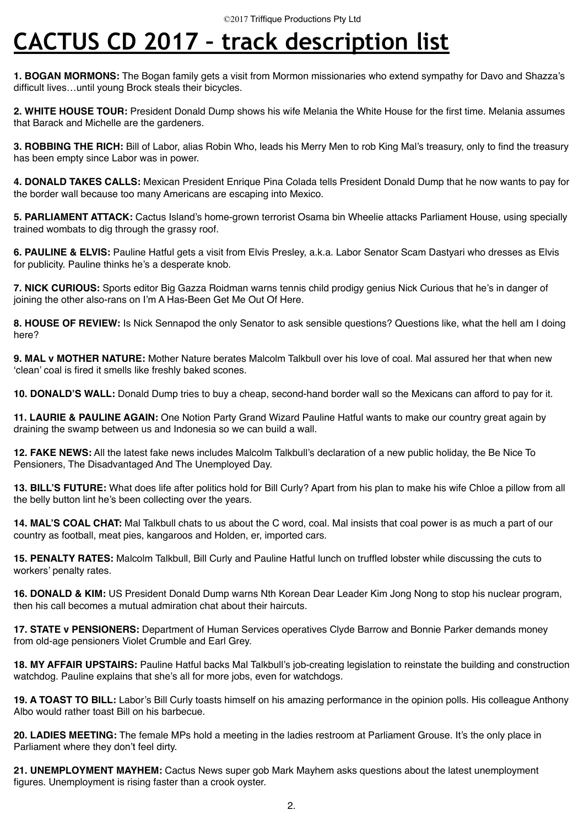## **CACTUS CD 2017 – track description list**

**1. BOGAN MORMONS:** The Bogan family gets a visit from Mormon missionaries who extend sympathy for Davo and Shazza's difficult lives…until young Brock steals their bicycles.

**2. WHITE HOUSE TOUR:** President Donald Dump shows his wife Melania the White House for the first time. Melania assumes that Barack and Michelle are the gardeners.

**3. ROBBING THE RICH:** Bill of Labor, alias Robin Who, leads his Merry Men to rob King Mal's treasury, only to find the treasury has been empty since Labor was in power.

**4. DONALD TAKES CALLS:** Mexican President Enrique Pina Colada tells President Donald Dump that he now wants to pay for the border wall because too many Americans are escaping into Mexico.

**5. PARLIAMENT ATTACK:** Cactus Island's home-grown terrorist Osama bin Wheelie attacks Parliament House, using specially trained wombats to dig through the grassy roof.

**6. PAULINE & ELVIS:** Pauline Hatful gets a visit from Elvis Presley, a.k.a. Labor Senator Scam Dastyari who dresses as Elvis for publicity. Pauline thinks he's a desperate knob.

**7. NICK CURIOUS:** Sports editor Big Gazza Roidman warns tennis child prodigy genius Nick Curious that he's in danger of joining the other also-rans on I'm A Has-Been Get Me Out Of Here.

**8. HOUSE OF REVIEW:** Is Nick Sennapod the only Senator to ask sensible questions? Questions like, what the hell am I doing here?

**9. MAL v MOTHER NATURE:** Mother Nature berates Malcolm Talkbull over his love of coal. Mal assured her that when new 'clean' coal is fired it smells like freshly baked scones.

**10. DONALD'S WALL:** Donald Dump tries to buy a cheap, second-hand border wall so the Mexicans can afford to pay for it.

**11. LAURIE & PAULINE AGAIN:** One Notion Party Grand Wizard Pauline Hatful wants to make our country great again by draining the swamp between us and Indonesia so we can build a wall.

**12. FAKE NEWS:** All the latest fake news includes Malcolm Talkbull's declaration of a new public holiday, the Be Nice To Pensioners, The Disadvantaged And The Unemployed Day.

**13. BILL'S FUTURE:** What does life after politics hold for Bill Curly? Apart from his plan to make his wife Chloe a pillow from all the belly button lint he's been collecting over the years.

**14. MAL'S COAL CHAT:** Mal Talkbull chats to us about the C word, coal. Mal insists that coal power is as much a part of our country as football, meat pies, kangaroos and Holden, er, imported cars.

**15. PENALTY RATES:** Malcolm Talkbull, Bill Curly and Pauline Hatful lunch on truffled lobster while discussing the cuts to workers' penalty rates.

**16. DONALD & KIM:** US President Donald Dump warns Nth Korean Dear Leader Kim Jong Nong to stop his nuclear program, then his call becomes a mutual admiration chat about their haircuts.

**17. STATE v PENSIONERS:** Department of Human Services operatives Clyde Barrow and Bonnie Parker demands money from old-age pensioners Violet Crumble and Earl Grey.

**18. MY AFFAIR UPSTAIRS:** Pauline Hatful backs Mal Talkbull's job-creating legislation to reinstate the building and construction watchdog. Pauline explains that she's all for more jobs, even for watchdogs.

**19. A TOAST TO BILL:** Labor's Bill Curly toasts himself on his amazing performance in the opinion polls. His colleague Anthony Albo would rather toast Bill on his barbecue.

**20. LADIES MEETING:** The female MPs hold a meeting in the ladies restroom at Parliament Grouse. It's the only place in Parliament where they don't feel dirty.

**21. UNEMPLOYMENT MAYHEM:** Cactus News super gob Mark Mayhem asks questions about the latest unemployment figures. Unemployment is rising faster than a crook oyster.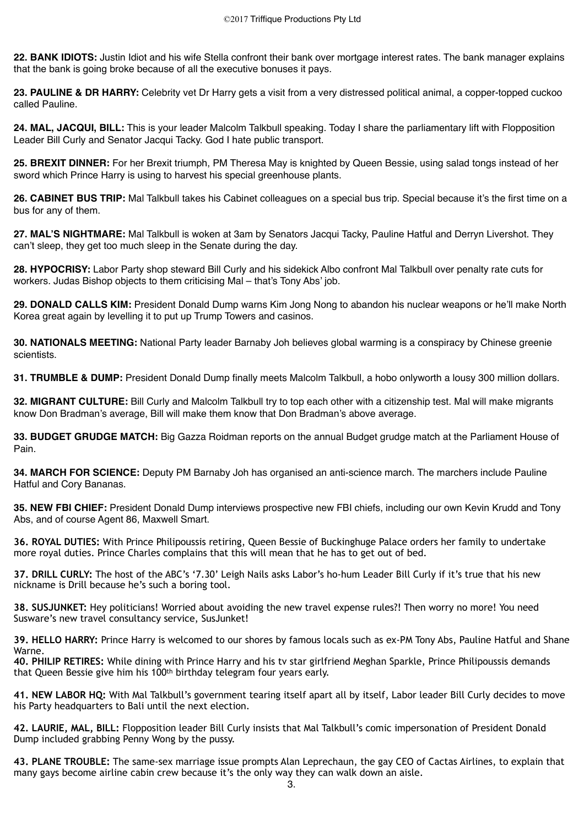**22. BANK IDIOTS:** Justin Idiot and his wife Stella confront their bank over mortgage interest rates. The bank manager explains that the bank is going broke because of all the executive bonuses it pays.

**23. PAULINE & DR HARRY:** Celebrity vet Dr Harry gets a visit from a very distressed political animal, a copper-topped cuckoo called Pauline.

**24. MAL, JACQUI, BILL:** This is your leader Malcolm Talkbull speaking. Today I share the parliamentary lift with Flopposition Leader Bill Curly and Senator Jacqui Tacky. God I hate public transport.

**25. BREXIT DINNER:** For her Brexit triumph, PM Theresa May is knighted by Queen Bessie, using salad tongs instead of her sword which Prince Harry is using to harvest his special greenhouse plants.

**26. CABINET BUS TRIP:** Mal Talkbull takes his Cabinet colleagues on a special bus trip. Special because it's the first time on a bus for any of them.

**27. MAL'S NIGHTMARE:** Mal Talkbull is woken at 3am by Senators Jacqui Tacky, Pauline Hatful and Derryn Livershot. They can't sleep, they get too much sleep in the Senate during the day.

**28. HYPOCRISY:** Labor Party shop steward Bill Curly and his sidekick Albo confront Mal Talkbull over penalty rate cuts for workers. Judas Bishop objects to them criticising Mal – that's Tony Abs' job.

**29. DONALD CALLS KIM:** President Donald Dump warns Kim Jong Nong to abandon his nuclear weapons or he'll make North Korea great again by levelling it to put up Trump Towers and casinos.

**30. NATIONALS MEETING:** National Party leader Barnaby Joh believes global warming is a conspiracy by Chinese greenie scientists.

**31. TRUMBLE & DUMP:** President Donald Dump finally meets Malcolm Talkbull, a hobo onlyworth a lousy 300 million dollars.

**32. MIGRANT CULTURE:** Bill Curly and Malcolm Talkbull try to top each other with a citizenship test. Mal will make migrants know Don Bradman's average, Bill will make them know that Don Bradman's above average.

**33. BUDGET GRUDGE MATCH:** Big Gazza Roidman reports on the annual Budget grudge match at the Parliament House of Pain.

**34. MARCH FOR SCIENCE:** Deputy PM Barnaby Joh has organised an anti-science march. The marchers include Pauline Hatful and Cory Bananas.

**35. NEW FBI CHIEF:** President Donald Dump interviews prospective new FBI chiefs, including our own Kevin Krudd and Tony Abs, and of course Agent 86, Maxwell Smart.

**36. ROYAL DUTIES:** With Prince Philipoussis retiring, Queen Bessie of Buckinghuge Palace orders her family to undertake more royal duties. Prince Charles complains that this will mean that he has to get out of bed.

**37. DRILL CURLY:** The host of the ABC's '7.30' Leigh Nails asks Labor's ho-hum Leader Bill Curly if it's true that his new nickname is Drill because he's such a boring tool.

**38. SUSJUNKET:** Hey politicians! Worried about avoiding the new travel expense rules?! Then worry no more! You need Susware's new travel consultancy service, SusJunket!

**39. HELLO HARRY:** Prince Harry is welcomed to our shores by famous locals such as ex-PM Tony Abs, Pauline Hatful and Shane Warne.

**40. PHILIP RETIRES:** While dining with Prince Harry and his tv star girlfriend Meghan Sparkle, Prince Philipoussis demands that Queen Bessie give him his 100th birthday telegram four years early.

**41. NEW LABOR HQ:** With Mal Talkbull's government tearing itself apart all by itself, Labor leader Bill Curly decides to move his Party headquarters to Bali until the next election.

**42. LAURIE, MAL, BILL:** Flopposition leader Bill Curly insists that Mal Talkbull's comic impersonation of President Donald Dump included grabbing Penny Wong by the pussy.

**43. PLANE TROUBLE:** The same-sex marriage issue prompts Alan Leprechaun, the gay CEO of Cactas Airlines, to explain that many gays become airline cabin crew because it's the only way they can walk down an aisle.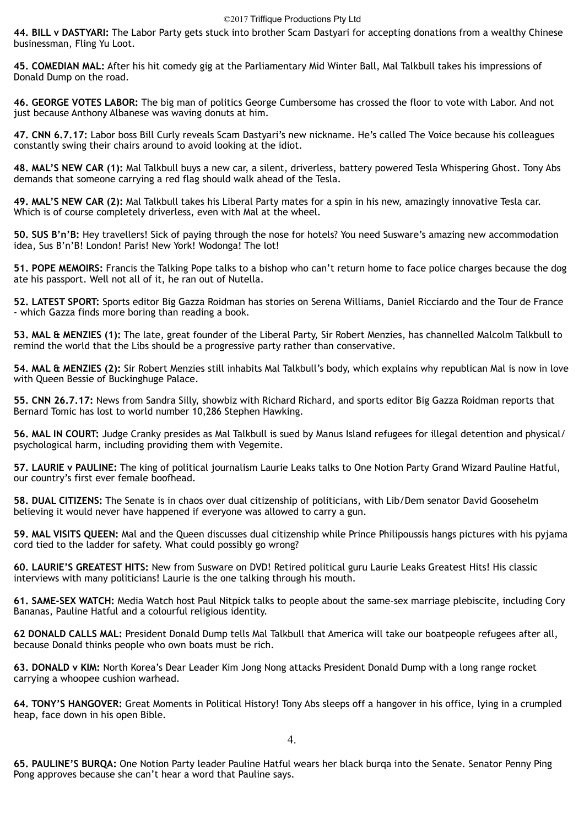## ©2017 Triffique Productions Pty Ltd

**44. BILL v DASTYARI:** The Labor Party gets stuck into brother Scam Dastyari for accepting donations from a wealthy Chinese businessman, Fling Yu Loot.

**45. COMEDIAN MAL:** After his hit comedy gig at the Parliamentary Mid Winter Ball, Mal Talkbull takes his impressions of Donald Dump on the road.

**46. GEORGE VOTES LABOR:** The big man of politics George Cumbersome has crossed the floor to vote with Labor. And not just because Anthony Albanese was waving donuts at him.

**47. CNN 6.7.17:** Labor boss Bill Curly reveals Scam Dastyari's new nickname. He's called The Voice because his colleagues constantly swing their chairs around to avoid looking at the idiot.

**48. MAL'S NEW CAR (1):** Mal Talkbull buys a new car, a silent, driverless, battery powered Tesla Whispering Ghost. Tony Abs demands that someone carrying a red flag should walk ahead of the Tesla.

**49. MAL'S NEW CAR (2):** Mal Talkbull takes his Liberal Party mates for a spin in his new, amazingly innovative Tesla car. Which is of course completely driverless, even with Mal at the wheel.

**50. SUS B'n'B:** Hey travellers! Sick of paying through the nose for hotels? You need Susware's amazing new accommodation idea, Sus B'n'B! London! Paris! New York! Wodonga! The lot!

**51. POPE MEMOIRS:** Francis the Talking Pope talks to a bishop who can't return home to face police charges because the dog ate his passport. Well not all of it, he ran out of Nutella.

**52. LATEST SPORT:** Sports editor Big Gazza Roidman has stories on Serena Williams, Daniel Ricciardo and the Tour de France - which Gazza finds more boring than reading a book.

**53. MAL & MENZIES (1):** The late, great founder of the Liberal Party, Sir Robert Menzies, has channelled Malcolm Talkbull to remind the world that the Libs should be a progressive party rather than conservative.

**54. MAL & MENZIES (2):** Sir Robert Menzies still inhabits Mal Talkbull's body, which explains why republican Mal is now in love with Queen Bessie of Buckinghuge Palace.

**55. CNN 26.7.17:** News from Sandra Silly, showbiz with Richard Richard, and sports editor Big Gazza Roidman reports that Bernard Tomic has lost to world number 10,286 Stephen Hawking.

**56. MAL IN COURT:** Judge Cranky presides as Mal Talkbull is sued by Manus Island refugees for illegal detention and physical/ psychological harm, including providing them with Vegemite.

**57. LAURIE v PAULINE:** The king of political journalism Laurie Leaks talks to One Notion Party Grand Wizard Pauline Hatful, our country's first ever female boofhead.

**58. DUAL CITIZENS:** The Senate is in chaos over dual citizenship of politicians, with Lib/Dem senator David Goosehelm believing it would never have happened if everyone was allowed to carry a gun.

**59. MAL VISITS QUEEN:** Mal and the Queen discusses dual citizenship while Prince Philipoussis hangs pictures with his pyjama cord tied to the ladder for safety. What could possibly go wrong?

**60. LAURIE'S GREATEST HITS:** New from Susware on DVD! Retired political guru Laurie Leaks Greatest Hits! His classic interviews with many politicians! Laurie is the one talking through his mouth.

**61. SAME-SEX WATCH:** Media Watch host Paul Nitpick talks to people about the same-sex marriage plebiscite, including Cory Bananas, Pauline Hatful and a colourful religious identity.

**62 DONALD CALLS MAL:** President Donald Dump tells Mal Talkbull that America will take our boatpeople refugees after all, because Donald thinks people who own boats must be rich.

**63. DONALD v KIM:** North Korea's Dear Leader Kim Jong Nong attacks President Donald Dump with a long range rocket carrying a whoopee cushion warhead.

**64. TONY'S HANGOVER:** Great Moments in Political History! Tony Abs sleeps off a hangover in his office, lying in a crumpled heap, face down in his open Bible.

4.

**65. PAULINE'S BURQA:** One Notion Party leader Pauline Hatful wears her black burqa into the Senate. Senator Penny Ping Pong approves because she can't hear a word that Pauline says.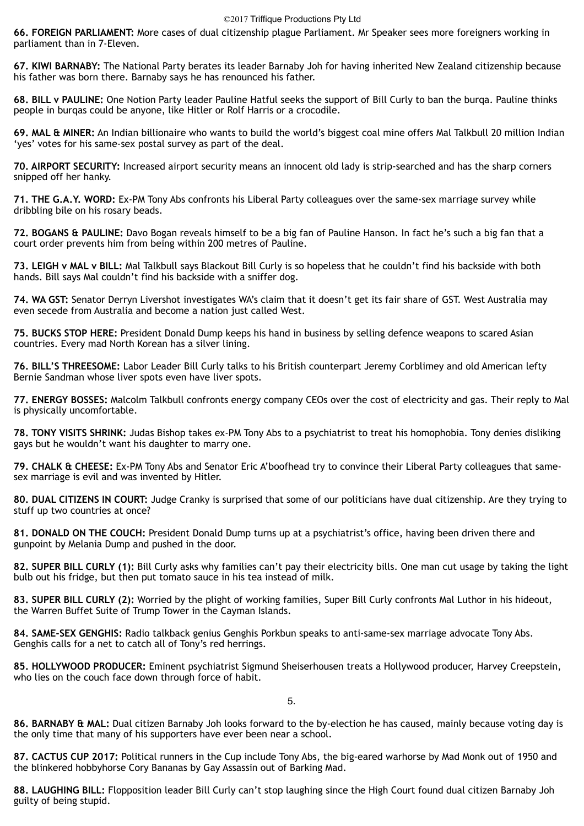**66. FOREIGN PARLIAMENT:** More cases of dual citizenship plague Parliament. Mr Speaker sees more foreigners working in parliament than in 7-Eleven.

**67. KIWI BARNABY:** The National Party berates its leader Barnaby Joh for having inherited New Zealand citizenship because his father was born there. Barnaby says he has renounced his father.

**68. BILL v PAULINE:** One Notion Party leader Pauline Hatful seeks the support of Bill Curly to ban the burqa. Pauline thinks people in burqas could be anyone, like Hitler or Rolf Harris or a crocodile.

**69. MAL & MINER:** An Indian billionaire who wants to build the world's biggest coal mine offers Mal Talkbull 20 million Indian 'yes' votes for his same-sex postal survey as part of the deal.

**70. AIRPORT SECURITY:** Increased airport security means an innocent old lady is strip-searched and has the sharp corners snipped off her hanky.

**71. THE G.A.Y. WORD:** Ex-PM Tony Abs confronts his Liberal Party colleagues over the same-sex marriage survey while dribbling bile on his rosary beads.

**72. BOGANS & PAULINE:** Davo Bogan reveals himself to be a big fan of Pauline Hanson. In fact he's such a big fan that a court order prevents him from being within 200 metres of Pauline.

**73. LEIGH v MAL v BILL:** Mal Talkbull says Blackout Bill Curly is so hopeless that he couldn't find his backside with both hands. Bill says Mal couldn't find his backside with a sniffer dog.

**74. WA GST:** Senator Derryn Livershot investigates WA's claim that it doesn't get its fair share of GST. West Australia may even secede from Australia and become a nation just called West.

**75. BUCKS STOP HERE:** President Donald Dump keeps his hand in business by selling defence weapons to scared Asian countries. Every mad North Korean has a silver lining.

**76. BILL'S THREESOME:** Labor Leader Bill Curly talks to his British counterpart Jeremy Corblimey and old American lefty Bernie Sandman whose liver spots even have liver spots.

**77. ENERGY BOSSES:** Malcolm Talkbull confronts energy company CEOs over the cost of electricity and gas. Their reply to Mal is physically uncomfortable.

**78. TONY VISITS SHRINK:** Judas Bishop takes ex-PM Tony Abs to a psychiatrist to treat his homophobia. Tony denies disliking gays but he wouldn't want his daughter to marry one.

**79. CHALK & CHEESE:** Ex-PM Tony Abs and Senator Eric A'boofhead try to convince their Liberal Party colleagues that samesex marriage is evil and was invented by Hitler.

**80. DUAL CITIZENS IN COURT:** Judge Cranky is surprised that some of our politicians have dual citizenship. Are they trying to stuff up two countries at once?

**81. DONALD ON THE COUCH:** President Donald Dump turns up at a psychiatrist's office, having been driven there and gunpoint by Melania Dump and pushed in the door.

**82. SUPER BILL CURLY (1):** Bill Curly asks why families can't pay their electricity bills. One man cut usage by taking the light bulb out his fridge, but then put tomato sauce in his tea instead of milk.

**83. SUPER BILL CURLY (2):** Worried by the plight of working families, Super Bill Curly confronts Mal Luthor in his hideout, the Warren Buffet Suite of Trump Tower in the Cayman Islands.

**84. SAME-SEX GENGHIS:** Radio talkback genius Genghis Porkbun speaks to anti-same-sex marriage advocate Tony Abs. Genghis calls for a net to catch all of Tony's red herrings.

**85. HOLLYWOOD PRODUCER:** Eminent psychiatrist Sigmund Sheiserhousen treats a Hollywood producer, Harvey Creepstein, who lies on the couch face down through force of habit.

5.

**86. BARNABY & MAL:** Dual citizen Barnaby Joh looks forward to the by-election he has caused, mainly because voting day is the only time that many of his supporters have ever been near a school.

**87. CACTUS CUP 2017:** Political runners in the Cup include Tony Abs, the big-eared warhorse by Mad Monk out of 1950 and the blinkered hobbyhorse Cory Bananas by Gay Assassin out of Barking Mad.

**88. LAUGHING BILL:** Flopposition leader Bill Curly can't stop laughing since the High Court found dual citizen Barnaby Joh guilty of being stupid.